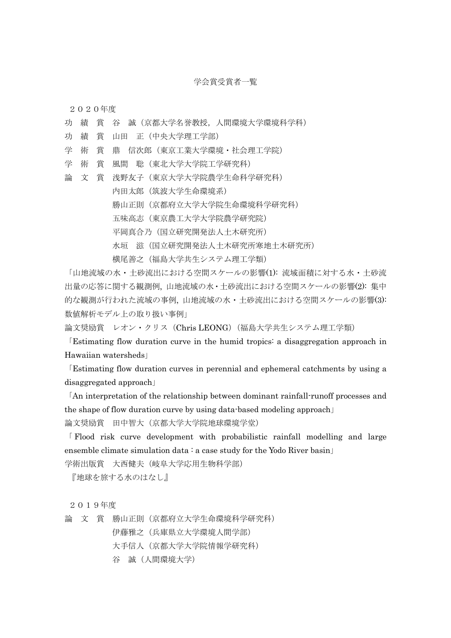## 学会賞受賞者一覧

2020年度

- 功 績 賞 谷 誠(京都大学名誉教授,人間環境大学環境科学科)
- 功 績 賞 山田 正(中央大学理工学部)
- 学 術 賞 鼎 信次郎(東京工業大学環境・社会理工学院)
- 学 術 賞 風間 聡(東北大学大学院工学研究科)
- 論 文 賞 浅野友子(東京大学大学院農学生命科学研究科) 内田太郎(筑波大学生命環境系) 勝山正則(京都府立大学大学院生命環境科学研究科) 五味高志(東京農工大学大学院農学研究院) 平岡真合乃(国立研究開発法人土木研究所) 水垣 滋(国立研究開発法人土木研究所寒地土木研究所) 横尾善之(福島大学共生システム理工学類)

「山地流域の水・土砂流出における空間スケールの影響(1): 流域面積に対する水・土砂流 出量の応答に関する観測例, 山地流域の水・土砂流出における空間スケールの影響(2): 集中 的な観測が行われた流域の事例, 山地流域の水・土砂流出における空間スケールの影響(3): 数値解析モデル上の取り扱い事例」

論文奨励賞 レオン・クリス(Chris LEONG)(福島大学共生システム理工学類)

「Estimating flow duration curve in the humid tropics: a disaggregation approach in Hawaiian watersheds」

「Estimating flow duration curves in perennial and ephemeral catchments by using a disaggregated approach」

「An interpretation of the relationship between dominant rainfall-runoff processes and the shape of flow duration curve by using data-based modeling approach」

論文奨励賞 田中智大(京都大学大学院地球環境学堂)

「 Flood risk curve development with probabilistic rainfall modelling and large ensemble climate simulation data  $: a$  case study for the Yodo River basin

学術出版賞 大西健夫(岐阜大学応用生物科学部)

『地球を旅する水のはなし』

2019年度

論 文 賞 勝山正則(京都府立大学生命環境科学研究科)

伊藤雅之(兵庫県立大学環境人間学部)

大手信人(京都大学大学院情報学研究科)

谷 誠(人間環境大学)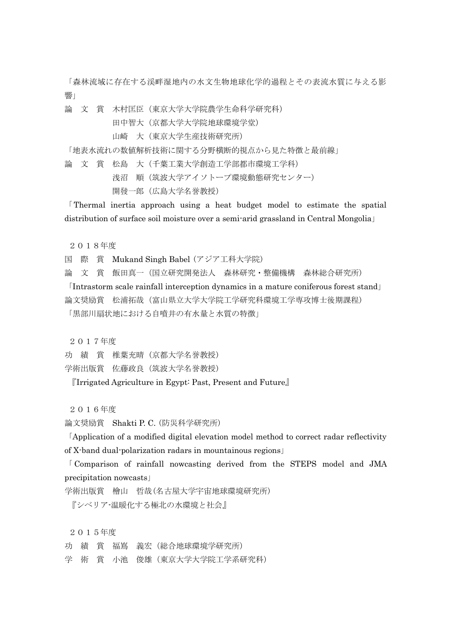「森林流域に存在する渓畔湿地内の水文生物地球化学的過程とその表流水質に与える影 響」

論 文 賞 木村匡臣(東京大学大学院農学生命科学研究科)

田中智大(京都大学大学院地球環境学堂)

山崎 大(東京大学生産技術研究所)

「地表水流れの数値解析技術に関する分野横断的視点から見た特徴と最前線」

論 文 賞 松島 大(千葉工業大学創造工学部都市環境工学科)

浅沼 順(筑波大学アイソトープ環境動態研究センター)

開發一郎(広島大学名誉教授)

「Thermal inertia approach using a heat budget model to estimate the spatial distribution of surface soil moisture over a semi-arid grassland in Central Mongolia」

2018年度

国 際 賞 Mukand Singh Babel (アジア工科大学院)

論 文 賞 飯田真一(国立研究開発法人 森林研究・整備機構 森林総合研究所)

「Intrastorm scale rainfall interception dynamics in a mature coniferous forest stand」 論文奨励賞 松浦拓哉(富山県立大学大学院工学研究科環境工学専攻博士後期課程) 「黒部川扇状地における自噴井の有水量と水質の特徴」

2017年度

功 績 賞 椎葉充晴 (京都大学名誉教授)

学術出版賞 佐藤政良(筑波大学名誉教授)

『Irrigated Agriculture in Egypt: Past, Present and Future』

2016年度

論文奨励賞 Shakti P. C. (防災科学研究所)

「Application of a modified digital elevation model method to correct radar reflectivity of X-band dual-polarization radars in mountainous regions」

「 Comparison of rainfall nowcasting derived from the STEPS model and JMA precipitation nowcasts」

学術出版賞 檜山 哲哉(名古屋大学宇宙地球環境研究所)

『シベリア-温暖化する極北の水環境と社会』

2015年度

功 績 賞 福嶌 義宏(総合地球環境学研究所)

学 術 賞 小池 俊雄(東京大学大学院工学系研究科)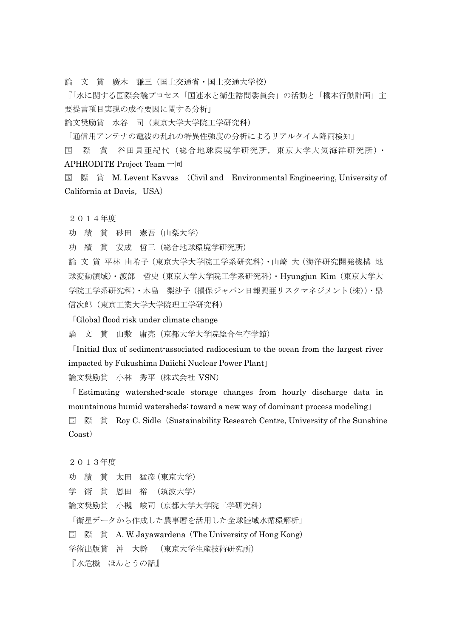論 文 賞 廣木 謙三(国土交通省・国土交通大学校)

『「水に関する国際会議プロセス「国連水と衛生諮問委員会」の活動と「橋本行動計画」主 要提言項目実現の成否要因に関する分析」

論文奨励賞 水谷 司(東京大学大学院工学研究科)

「通信用アンテナの電波の乱れの特異性強度の分析によるリアルタイム降雨検知」

国 際 賞 谷田貝亜紀代(総合地球環境学研究所,東京大学大気海洋研究所)・ APHRODITE Project Team 一同

国 際 賞 M. Levent Kavvas (Civil and Environmental Engineering, University of California at Davis, USA)

2014年度

功 績 賞 砂田 憲吾(山梨大学)

功 績 賞 安成 哲三(総合地球環境学研究所)

論 文 賞 平林 由希子(東京大学大学院工学系研究科)・山崎 大(海洋研究開発機構 地 球変動領域)・渡部 哲史(東京大学大学院工学系研究科)・Hyungjun Kim(東京大学大 学院工学系研究科)・木島 梨沙子(損保ジャパン日報興亜リスクマネジメント(株))・鼎 信次郎(東京工業大学大学院理工学研究科)

「Global flood risk under climate change」

論 文 賞 山敷 庸亮(京都大学大学院総合生存学館)

「Initial flux of sediment-associated radiocesium to the ocean from the largest river impacted by Fukushima Daiichi Nuclear Power Plant」

論文奨励賞 小林 秀平(株式会社 VSN)

「 Estimating watershed-scale storage changes from hourly discharge data in mountainous humid watersheds: toward a new way of dominant process modeling」 国 際 賞 Roy C. Sidle (Sustainability Research Centre, University of the Sunshine Coast)

2013年度

功 績 賞 太田 猛彦(東京大学)

学 術 賞 恩田 裕一(筑波大学)

論文奨励賞 小槻 峻司(京都大学大学院工学研究科)

「衛星データから作成した農事暦を活用した全球陸域水循環解析」

国 際 賞 A. W. Jayawardena(The University of Hong Kong)

学術出版賞 沖 大幹 (東京大学生産技術研究所)

『水危機 ほんとうの話』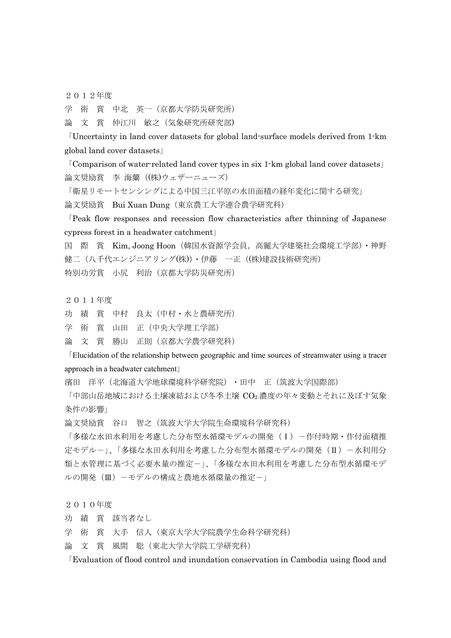2012年度

学 術 賞 中北 英一(京都大学防災研究所)

論 文 賞 仲江川 敏之(気象研究所研究部)

「Uncertainty in land cover datasets for global land-surface models derived from 1-km global land cover datasets」

「Comparison of water-related land cover types in six 1-km global land cover datasets」 論文奨励賞 李 海蘭((株)ウェザーニューズ)

「衛星リモートセンシングによる中国三江平原の水田面積の経年変化に関する研究」

論文奨励賞 Bui Xuan Dung(東京農工大学連合農学研究科)

「Peak flow responses and recession flow characteristics after thinning of Japanese cypress forest in a headwater catchment」

国 際 賞 Kim, Joong Hoon(韓国水資源学会員,高麗大学建築社会環境工学部)・神野 健二(八千代エンジニアリング(株))・伊藤 一正((株)建設技術研究所) 特別功労賞 小尻 利治(京都大学防災研究所)

2011年度

功 績 賞 中村 良太(中村・水と農研究所)

学 術 賞 山田 正(中央大学理工学部)

論 文 賞 勝山 正則(京都大学農学研究科)

「Elucidation of the relationship between geographic and time sources of streamwater using a tracer approach in a headwater catchment」

濱田 洋平(北海道大学地球環境科学研究院)・田中 正(筑波大学国際部)

「中部山岳地域における土壌凍結および冬季土壌 CO2 濃度の年々変動とそれに及ぼす気象 条件の影響」

論文奨励賞 谷口 智之(筑波大学大学院生命環境科学研究科)

「多様な水田水利用を考慮した分布型水循環モデルの開発(I)-作付時期·作付面積推 定モデルー」、「多様な水田水利用を考慮した分布型水循環モデルの開発(II)-水利用分 類と水管理に基づく必要水量の推定-」、「多様な水田水利用を考慮した分布型水循環モデ ルの開発(Ⅲ)-モデルの構成と農地水循環量の推定-」

2010年度

功 績 賞 該当者なし

学 術 賞 大手 信人(東京大学大学院農学生命科学研究科)

論 文 賞 風間 聡(東北大学大学院工学研究科)

「Evaluation of flood control and inundation conservation in Cambodia using flood and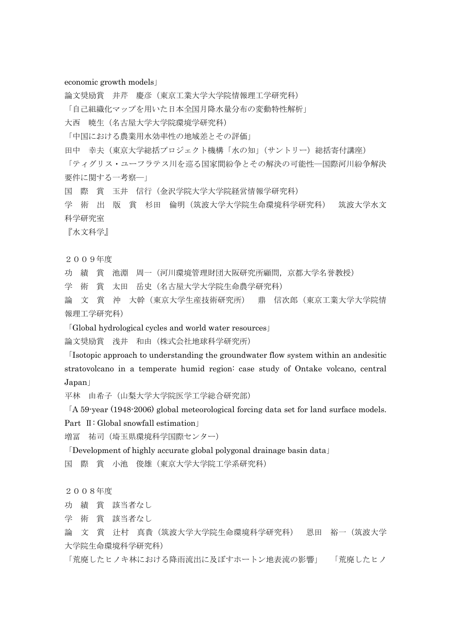## economic growth models」

論文奨励賞 井芹 慶彦(東京工業大学大学院情報理工学研究科) 「自己組織化マップを用いた日本全国月降水量分布の変動特性解析」 大西 暁生(名古屋大学大学院環境学研究科)

「中国における農業用水効率性の地域差とその評価」

田中 幸夫(東京大学総括プロジェクト機構「水の知」(サントリー)総括寄付講座)

「ティグリス・ユーフラテス川を巡る国家間紛争とその解決の可能性―国際河川紛争解決 要件に関する一考察―」

国 際 賞 玉井 信行(金沢学院大学大学院経営情報学研究科)

学 術 出 版 賞 杉田 倫明(筑波大学大学院生命環境科学研究科) 筑波大学水文 科学研究室

『水文科学』

2009年度

功 績 賞 池淵 周一(河川環境管理財団大阪研究所顧問,京都大学名誉教授)

学 術 賞 太田 岳史(名古屋大学大学院生命農学研究科)

論 文 賞 沖 大幹(東京大学生産技術研究所) 鼎 信次郎(東京工業大学大学院情 報理工学研究科)

「Global hydrological cycles and world water resources」

論文奨励賞 浅井 和由(株式会社地球科学研究所)

「Isotopic approach to understanding the groundwater flow system within an andesitic stratovolcano in a temperate humid region: case study of Ontake volcano, central Japan」

平林 由希子(山梨大学大学院医学工学総合研究部)

「A 59-year (1948-2006) global meteorological forcing data set for land surface models. Part Ⅱ: Global snowfall estimation」

増冨 祐司(埼玉県環境科学国際センター)

「Development of highly accurate global polygonal drainage basin data」

国 際 賞 小池 俊雄(東京大学大学院工学系研究科)

2008年度

功 績 賞 該当者なし

学 術 賞 該当者なし

論 文 賞 辻村 真貴(筑波大学大学院生命環境科学研究科) 恩田 裕一(筑波大学 大学院生命環境科学研究科)

「荒廃したヒノキ林における降雨流出に及ぼすホートン地表流の影響」 「荒廃したヒノ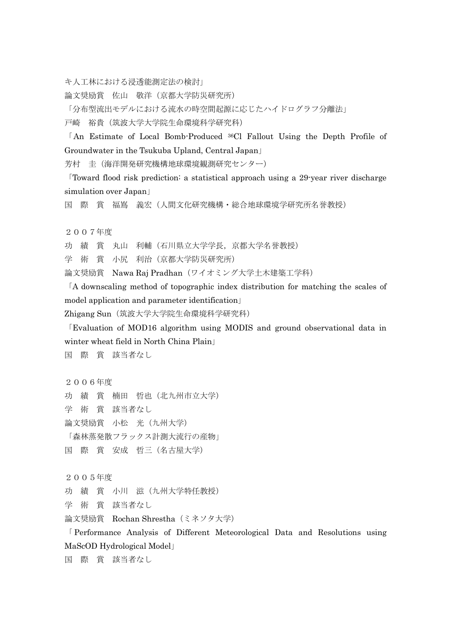キ人工林における浸透能測定法の検討」

論文奨励賞 佐山 敬洋(京都大学防災研究所)

「分布型流出モデルにおける流水の時空間起源に応じたハイドログラフ分離法」

戸崎 裕貴(筑波大学大学院生命環境科学研究科)

「An Estimate of Local Bomb-Produced 36Cl Fallout Using the Depth Profile of Groundwater in the Tsukuba Upland, Central Japan」

芳村 圭(海洋開発研究機構地球環境観測研究センター)

「Toward flood risk prediction: a statistical approach using a 29-year river discharge simulation over Japan」

国 際 賞 福嶌 義宏(人間文化研究機構・総合地球環境学研究所名誉教授)

2007年度

功 績 賞 丸山 利輔(石川県立大学学長,京都大学名誉教授)

学 術 賞 小尻 利治(京都大学防災研究所)

論文奨励賞 Nawa Raj Pradhan (ワイオミング大学土木建築工学科)

「A downscaling method of topographic index distribution for matching the scales of model application and parameter identification」

Zhigang Sun (筑波大学大学院生命環境科学研究科)

「Evaluation of MOD16 algorithm using MODIS and ground observational data in winter wheat field in North China Plain」

国 際 賞 該当者なし

2006年度

功 績 賞 楠田 哲也(北九州市立大学)

学 術 賞 該当者なし

- 論文奨励賞 小松 光(九州大学)
- 「森林蒸発散フラックス計測大流行の産物」

国 際 賞 安成 哲三(名古屋大学)

2005年度

功 績 賞 小川 滋(九州大学特任教授)

学 術 賞 該当者なし

論文奨励賞 Rochan Shrestha (ミネソタ大学)

「 Performance Analysis of Different Meteorological Data and Resolutions using MaScOD Hydrological Model」

国 際 賞 該当者なし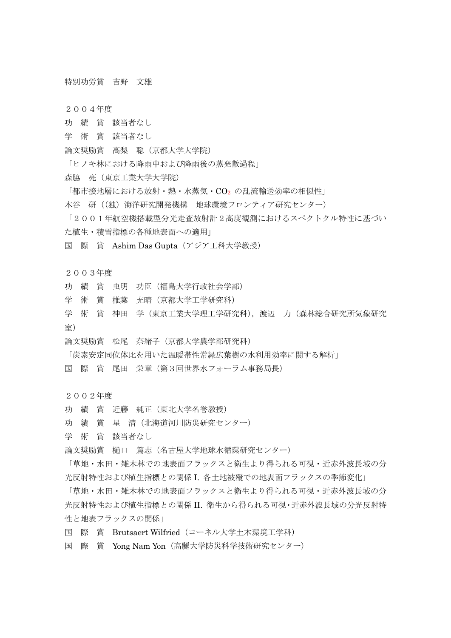## 特別功労賞 吉野 文雄

2004年度

- 功 績 賞 該当者なし
- 学 術 賞 該当者なし
- 論文奨励賞 高梨 聡(京都大学大学院)
- 「ヒノキ林における降雨中および降雨後の蒸発散過程」
- 森脇 亮(東京工業大学大学院)
- 「都市接地層における放射·熱·水蒸気·CO2 の乱流輸送効率の相似性」
- 本谷 研((独)海洋研究開発機構 地球環境フロンティア研究センター)
- 「2001年航空機搭載型分光走査放射計2高度観測におけるスペクトクル特性に基づい た植生・積雪指標の各種地表面への適用」

国 際 賞 Ashim Das Gupta(アジア工科大学教授)

- 2003年度
- 功 績 賞 虫明 功臣(福島大学行政社会学部)
- 学 術 賞 椎葉 充晴(京都大学工学研究科)
- 学 術 賞 神田 学(東京工業大学理工学研究科),渡辺 力(森林総合研究所気象研究 室)
- 論文奨励賞 松尾 奈緒子(京都大学農学部研究科)

「炭素安定同位体比を用いた温暖帯性常緑広葉樹の水利用効率に関する解析」

国 際 賞 尾田 栄章(第3回世界水フォーラム事務局長)

2002年度

- 功 績 賞 近藤 純正(東北大学名誉教授)
- 功 績 賞 星 清(北海道河川防災研究センター)
- 学 術 賞 該当者なし
- 論文奨励賞 樋口 篤志(名古屋大学地球水循環研究センター)

「草地・水田・雑木林での地表面フラックスと衛生より得られる可視・近赤外波長域の分 光反射特性および植生指標との関係 I. 各土地被覆での地表面フラックスの季節変化」

「草地・水田・雑木林での地表面フラックスと衛生より得られる可視・近赤外波長域の分 光反射特性および植生指標との関係 II. 衛生から得られる可視・近赤外波長域の分光反射特 性と地表フラックスの関係」

- 国 際 賞 Brutsaert Wilfried(コーネル大学土木環境工学科)
- 国 際 賞 Yong Nam Yon(高麗大学防災科学技術研究センター)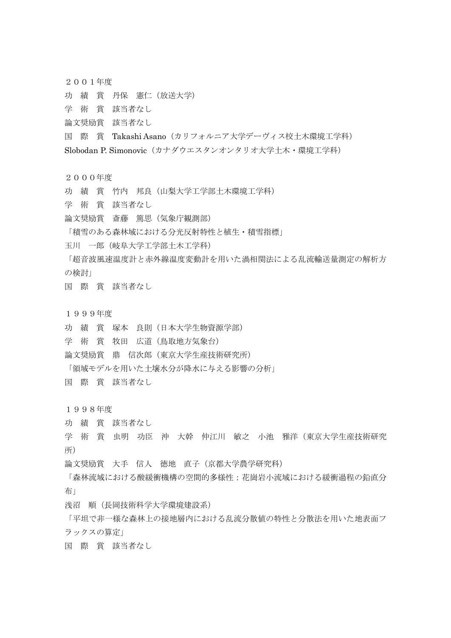2001年度

- 功 績 賞 丹保 憲仁(放送大学)
- 学 術 賞 該当者なし
- 論文奨励賞 該当者なし
- 国 際 賞 Takashi Asano(カリフォルニア大学デーヴィス校土木環境工学科)
- Slobodan P. Simonovic(カナダウエスタンオンタリオ大学土木・環境工学科)
- 2000年度
- 功 績 賞 竹内 邦良(山梨大学工学部土木環境工学科)
- 学 術 賞 該当者なし
- 論文奨励賞 斎藤 篤思(気象庁観測部)

「積雪のある森林域における分光反射特性と植生・積雪指標」

玉川 一郎(岐阜大学工学部土木工学科)

「超音波風速温度計と赤外線温度変動計を用いた渦相関法による乱流輸送量測定の解析方 の検討」

- 国 際 賞 該当者なし
- 1999年度
- 功 績 賞 塚本 良則(日本大学生物資源学部)
- 学 術 賞 牧田 広道(鳥取地方気象台)
- 論文奨励賞 鼎 信次郎(東京大学生産技術研究所)
- 「領域モデルを用いた土壌水分が降水に与える影響の分析」
- 国 際 賞 該当者なし

1998年度

- 功 績 賞 該当者なし
- 学 術 賞 虫明 功臣 沖 大幹 仲江川 敏之 小池 雅洋(東京大学生産技術研究 所)
- 論文奨励賞 大手 信人 徳地 直子(京都大学農学研究科)
- 「森林流域における酸緩衝機構の空間的多様性:花崗岩小流域における緩衝過程の鉛直分 布」
- 浅沼 順(長岡技術科学大学環境建設系)

「平坦で非一様な森林上の接地層内における乱流分散値の特性と分散法を用いた地表面フ ラックスの算定」

国 際 賞 該当者なし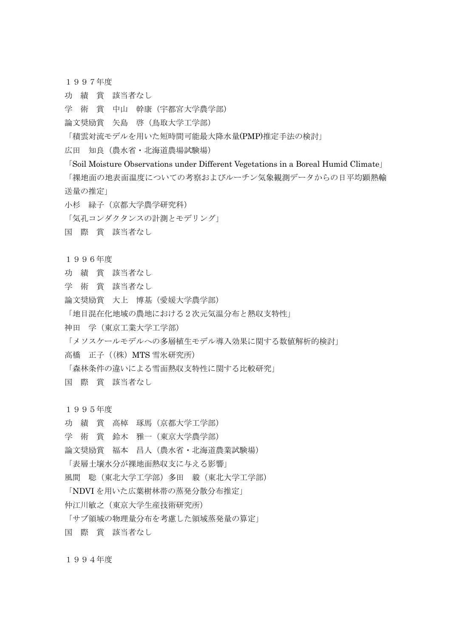- 1997年度
- 功 績 賞 該当者なし
- 学 術 賞 中山 幹康(宇都宮大学農学部)
- 論文奨励賞 矢島 啓(鳥取大学工学部)

「積雲対流モデルを用いた短時間可能最大降水量(PMP)推定手法の検討」

- 広田 知良(農水省・北海道農場試験場)
- 「Soil Moisture Observations under Different Vegetations in a Boreal Humid Climate」

「裸地面の地表面温度についての考察およびルーチン気象観測データからの日平均顕熱輸 送量の推定」

小杉 緑子(京都大学農学研究科)

「気孔コンダクタンスの計測とモデリング」

- 国 際 賞 該当者なし
- 1996年度
- 功 績 賞 該当者なし
- 学 術 賞 該当者なし
- 論文奨励賞 大上 博基(愛媛大学農学部)

「地目混在化地域の農地における2次元気温分布と熱収支特性」

神田 学(東京工業大学工学部)

「メソスケールモデルへの多層植生モデル導入効果に関する数値解析的検討」

高橋 正子((株)MTS 雪氷研究所)

「森林条件の違いによる雪面熱収支特性に関する比較研究」

国 際 賞 該当者なし

1995年度

- 功 績 賞 高棹 琢馬(京都大学工学部)
- 学 術 賞 鈴木 雅一(東京大学農学部)
- 論文奨励賞 福本 昌人(農水省・北海道農業試験場)
- 「表層土壌水分が裸地面熱収支に与える影響」
- 風間 聡(東北大学工学部)多田 毅(東北大学工学部)

「NDVI を用いた広葉樹林帯の蒸発分散分布推定」

- 仲江川敏之(東京大学生産技術研究所)
- 「サブ領域の物理量分布を考慮した領域蒸発量の算定」

国 際 賞 該当者なし

1994年度